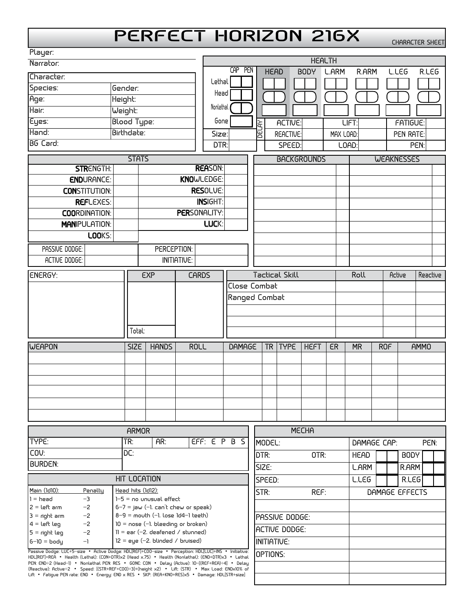## **PERFECT HORIZON 216X**

CHARACTER SHEET

| Player:                                                  |                                      |                                                                                 |                       |                          |        |               |                |                |                     |                     |            |           |             |
|----------------------------------------------------------|--------------------------------------|---------------------------------------------------------------------------------|-----------------------|--------------------------|--------|---------------|----------------|----------------|---------------------|---------------------|------------|-----------|-------------|
| Narrator:                                                |                                      |                                                                                 |                       | <b>HEALTH</b><br>CAP PEN |        |               |                |                |                     |                     |            |           |             |
| Character:                                               |                                      |                                                                                 |                       | Lethal                   |        | <b>HEAD</b>   |                | BODY           | <b>L.ARM</b>        | R.ARM               |            | L.LEG     | R.LEG       |
| Species:                                                 | Gender:                              |                                                                                 |                       |                          |        |               |                |                |                     |                     |            |           |             |
| Age:                                                     | Height:                              |                                                                                 |                       | Head                     |        |               |                |                |                     |                     |            |           |             |
| Hair:<br>Weight:                                         |                                      |                                                                                 |                       | Nonlethal                |        |               |                |                |                     |                     |            |           |             |
| Eyes:<br><b>Blood Type:</b>                              |                                      |                                                                                 |                       | Gone                     |        | ξ             | ACTIVE:        |                |                     | <b>LIFT:</b>        |            | FATIGUE:  |             |
| Hand:<br>Birthdate:                                      |                                      |                                                                                 |                       | Size:                    |        | E             | REACTIVE:      |                | MAX LOAD:           |                     |            | PEN RATE: |             |
| <b>BG</b> Card:                                          |                                      |                                                                                 |                       | DTR:                     | SPEED: |               |                |                |                     | LOAD:<br>PEN:       |            |           |             |
| <b>STATS</b>                                             |                                      |                                                                                 |                       | <b>BACKGROUNDS</b>       |        |               |                |                | <b>WEAKNESSES</b>   |                     |            |           |             |
| <b>STRENGTH:</b>                                         |                                      |                                                                                 | <b>REASON:</b>        |                          |        |               |                |                |                     |                     |            |           |             |
| <b>ENDURANCE:</b>                                        |                                      |                                                                                 | KNOWLEDGE:            |                          |        |               |                |                |                     |                     |            |           |             |
| <b>CONSTITUTION:</b>                                     |                                      |                                                                                 | <b>RESOLVE:</b>       |                          |        |               |                |                |                     |                     |            |           |             |
| <b>REFLEXES:</b>                                         |                                      |                                                                                 | <b>INSIGHT:</b>       |                          |        |               |                |                |                     |                     |            |           |             |
| <b>COORDINATION:</b>                                     | <b>PERSONALITY:</b>                  |                                                                                 |                       |                          |        |               |                |                |                     |                     |            |           |             |
| <b>MANIPULATION:</b>                                     |                                      |                                                                                 | LUCK:                 |                          |        |               |                |                |                     |                     |            |           |             |
| LOOKS:                                                   |                                      |                                                                                 |                       |                          |        |               |                |                |                     |                     |            |           |             |
| PASSIVE DODGE:                                           |                                      | PERCEPTION:                                                                     |                       |                          |        |               |                |                |                     |                     |            |           |             |
| ACTIVE DODGE:                                            |                                      |                                                                                 | <b>INITIATIVE:</b>    |                          |        |               |                |                |                     |                     |            |           |             |
| <b>EXP</b><br><b>ENERGY:</b>                             |                                      | <b>CARDS</b>                                                                    | <b>Tactical Skill</b> |                          |        |               |                | Roll<br>Active |                     |                     | Reactive   |           |             |
|                                                          |                                      |                                                                                 |                       |                          |        | Close Combat  |                |                |                     |                     |            |           |             |
|                                                          |                                      |                                                                                 |                       | Ranged Combat            |        |               |                |                |                     |                     |            |           |             |
|                                                          |                                      |                                                                                 |                       |                          |        |               |                |                |                     |                     |            |           |             |
|                                                          |                                      |                                                                                 |                       |                          |        |               |                |                |                     |                     |            |           |             |
|                                                          | Total:                               |                                                                                 |                       |                          |        |               |                |                |                     |                     |            |           |             |
| WEAPON                                                   | <b>SIZE</b>                          | <b>HANDS</b>                                                                    | <b>ROLL</b>           | DAMAGE                   |        | <b>TR</b>     | <b>TYPE</b>    | <b>HEFT</b>    | ER                  | <b>MR</b>           | <b>ROF</b> |           | <b>AMMO</b> |
|                                                          |                                      |                                                                                 |                       |                          |        |               |                |                |                     |                     |            |           |             |
|                                                          |                                      |                                                                                 |                       |                          |        |               |                |                |                     |                     |            |           |             |
|                                                          |                                      |                                                                                 |                       |                          |        |               |                |                |                     |                     |            |           |             |
|                                                          |                                      |                                                                                 |                       |                          |        |               |                |                |                     |                     |            |           |             |
|                                                          |                                      |                                                                                 |                       |                          |        |               |                |                |                     |                     |            |           |             |
|                                                          |                                      |                                                                                 |                       |                          |        |               |                |                |                     |                     |            |           |             |
|                                                          |                                      | <b>MECHA</b>                                                                    |                       |                          |        |               |                |                |                     |                     |            |           |             |
| <b>ARMOR</b><br>TYPE:<br>TR:<br>AR:                      |                                      |                                                                                 |                       | EFF: E P B S<br>MODEL:   |        |               |                |                | DAMAGE CAP:<br>PEN: |                     |            |           |             |
| DC:<br>COV:                                              |                                      |                                                                                 |                       |                          |        |               | OTR:<br>DTR:   |                |                     | <b>HEAD</b><br>BODY |            |           |             |
| <b>BURDEN:</b>                                           |                                      |                                                                                 |                       |                          |        | SIZE:         |                |                |                     | <b>L.ARM</b>        |            | R.ARM     |             |
| <b>HIT LOCATION</b>                                      |                                      |                                                                                 |                       | SPEED:                   |        |               |                | L.LEG          |                     | R <sub>L</sub> EG   |            |           |             |
| Main (1d10):<br>Penally                                  | Head hits (1d12):                    |                                                                                 |                       |                          |        | REF:<br>STR:  |                |                | DAMAGE EFFECTS      |                     |            |           |             |
| $1 = head$<br>$-3$                                       |                                      | $1-5 =$ no unusual effect                                                       |                       |                          |        |               |                |                |                     |                     |            |           |             |
| $2 = \text{Left arm}$<br>$-2$<br>$3 =$ right arm<br>$-2$ |                                      | $6-7 =$ jaw (–1. can't chew or speak)<br>$8-9 =$ mouth (-1. lose $1d4-1$ teeth) |                       |                          |        |               | PASSIVE DODGE: |                |                     |                     |            |           |             |
| $-2$<br>$4 = \text{left leg}$                            | $10 =$ nose (-1. bleeding or broken) |                                                                                 |                       |                          |        |               |                |                |                     |                     |            |           |             |
| $5 =$ right leg<br>$-2$                                  | $11 = ear (-2. denfened / stunnel)$  |                                                                                 |                       |                          |        | ACTIVE DODGE: |                |                |                     |                     |            |           |             |

ACTIVE DODGE: INITIATIVE:

Passive Dodge: LUC+5-size • Active Dodge: HDL[REF]+C00-size • Perception: HDL[LUC]+INS • Initiative: <br>HDL[REF]+REA • Health (Lethal): (CON+DTR)x2 (Head x.75) • Health (Nonlethal): (CND+DTR)x3 • Lethal<br>PEN: END÷2 (Head-1) •

 $11 = e$ ar (–2, deafened / stunned)  $12 = eye (-2. blinded / bruised)$ 

 $5 =$  right leg

 $6 - 10 = body$   $-1$